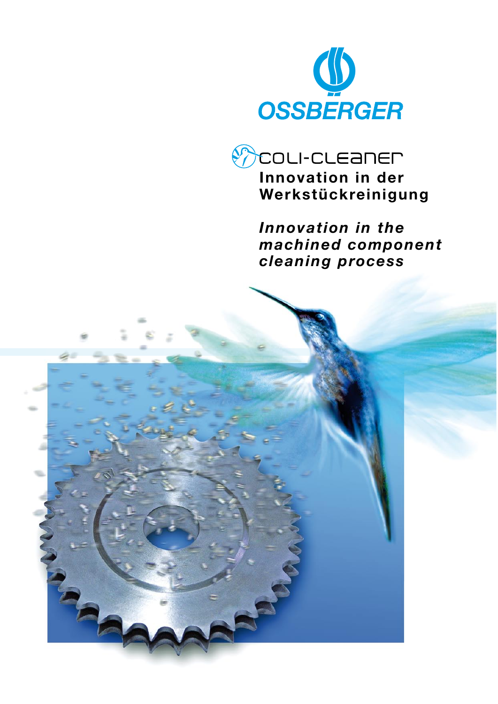



*Innovation in the machined component cleaning process*

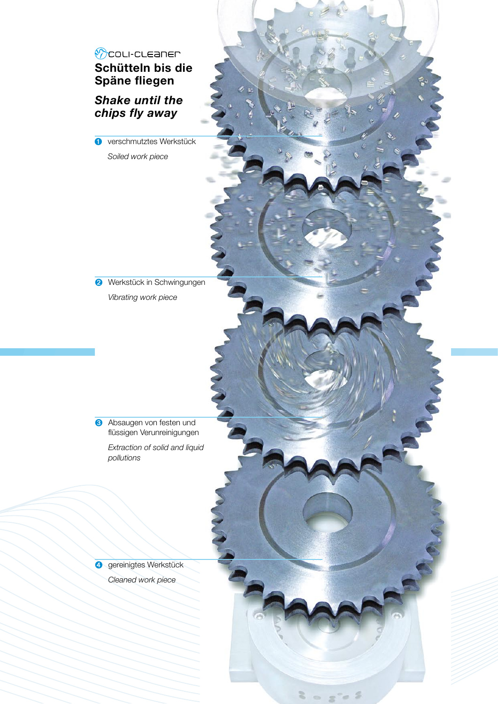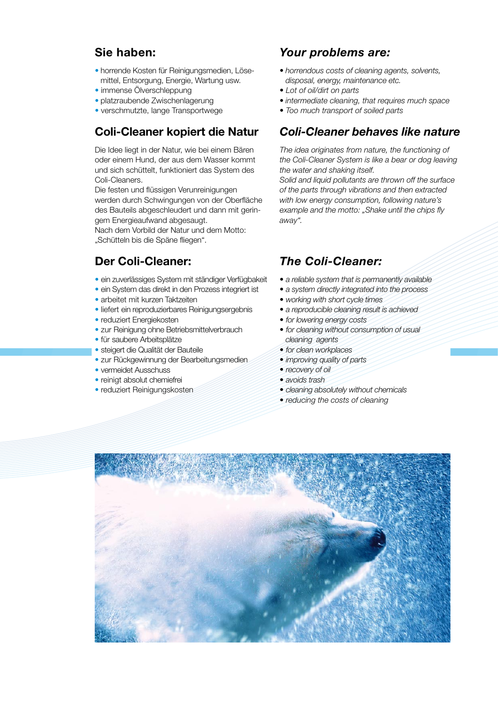## **Sie haben:**

- horrende Kosten für Reinigungsmedien, Löse- mittel, Entsorgung, Energie, Wartung usw.
- immense Ölverschleppung
- platzraubende Zwischenlagerung
- verschmutzte, lange Transportwege

# **Coli-Cleaner kopiert die Natur**

Die Idee liegt in der Natur, wie bei einem Bären oder einem Hund, der aus dem Wasser kommt und sich schüttelt, funktioniert das System des Coli-Cleaners.

Die festen und flüssigen Verunreinigungen werden durch Schwingungen von der Oberfläche des Bauteils abgeschleudert und dann mit geringem Energieaufwand abgesaugt.

Nach dem Vorbild der Natur und dem Motto: "Schütteln bis die Späne fliegen".

## **Der Coli-Cleaner:**

- ein zuverlässiges System mit ständiger Verfügbakeit
- ein System das direkt in den Prozess integriert ist
- arbeitet mit kurzen Taktzeiten
- liefert ein reproduzierbares Reinigungsergebnis
- reduziert Energiekosten
- zur Reinigung ohne Betriebsmittelverbrauch
- für saubere Arbeitsplätze
- steigert die Qualität der Bauteile
- zur Rückgewinnung der Bearbeitungsmedien
- vermeidet Ausschuss
- reinigt absolut chemiefrei
- reduziert Reinigungskosten

#### *Your problems are:*

- *• horrendous costs of cleaning agents, solvents, disposal, energy, maintenance etc.*
- *• Lot of oil/dirt on parts*
- *• intermediate cleaning, that requires much space*
- *• Too much transport of soiled parts*

#### *Coli-Cleaner behaves like nature*

*The idea originates from nature, the functioning of the Coli-Cleaner System is like a bear or dog leaving the water and shaking itself.*

*Solid and liquid pollutants are thrown off the surface of the parts through vibrations and then extracted with low energy consumption, following nature's example and the motto: "Shake until the chips fly away".*

# *The Coli-Cleaner:*

- *• a reliable system that is permanently available*
- *• a system directly integrated into the process*
- *• working with short cycle times*
- *• a reproducible cleaning result is achieved*
- *• for lowering energy costs*
- *• for cleaning without consumption of usual cleaning agents*
- *• for clean workplaces*
- *• improving quality of parts*
- *• recovery of oil*
- *• avoids trash*
- *• cleaning absolutely without chemicals*
- *• reducing the costs of cleaning*

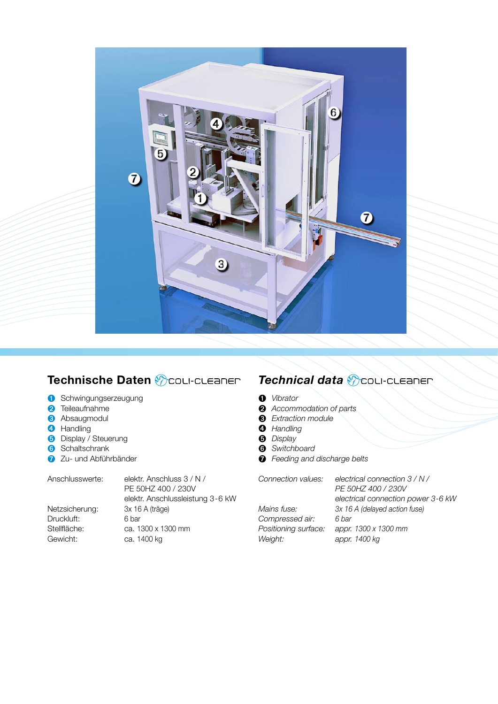

# **Technische Daten**

- **O** Schwingungserzeugung
- **a** Teileaufnahme
- **8** Absaugmodul
- **4** Handling
- **b** Display / Steuerung
- **6** Schaltschrank
- **a** Zu- und Abführbänder

| Anschlusswerte: | elektr. Anschluss 3 / N /        |
|-----------------|----------------------------------|
|                 | PE 50HZ 400 / 230V               |
|                 | elektr. Anschlussleistung 3-6 kW |
| Netzsicherung:  | 3x 16 A (träge)                  |
| Druckluft:      | 6 bar                            |
| Stellfläche:    | ca. 1300 x 1300 mm               |
| Gewicht:        | ca. 1400 kg                      |
|                 |                                  |

# *Technical data*

- ➊ *Vibrator*
- ➋ *Accommodation of parts*
- ➌ *Extraction module*
- ➍ *Handling*
- ➎ *Display*
- ➏ *Switchboard*
- ➐ *Feeding and discharge belts*

| Connection values:   | electrical connection $3/N/$       |
|----------------------|------------------------------------|
|                      | PE 50HZ 400 / 230V                 |
|                      | electrical connection power 3-6 kW |
| Mains fuse:          | 3x 16 A (delayed action fuse)      |
| Compressed air:      | 6 har                              |
| Positioning surface: | appr. 1300 x 1300 mm               |
| Weight:              | appr. 1400 kg                      |
|                      |                                    |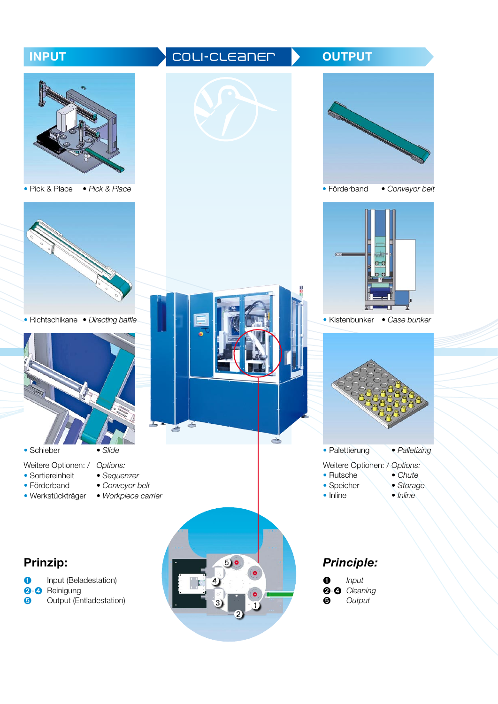# **INPUT OUTPUT OUTPUT** • Förderband *• Conveyor belt*• Pick & Place *• Pick & Place* • Richtschikane *• Directing baffle* • Kistenbunker *• Case bunker* d- $\frac{1}{2}$  $\rightarrow$ • Palettierung *• Palletizing* • Schieber *• Slide* Weitere Optionen: / *Options:* Weitere Optionen: / *Options:* • Sortiereinheit *• Sequenzer* • Rutsche *• Chute* • Förderband *• Conveyor belt* • Speicher *• Storage* • Inline *• Inline* • Werkstückträger *• Workpiece carrier* **Prinzip:** ➎ *Principle:* **O** Input (Beladestation) ➍ ➊ *Input* **O-O** Reinigung<br> **G** Output (En ➋*-*➍ *Cleaning* Output (Entladestation) ➎ *Output* ➌